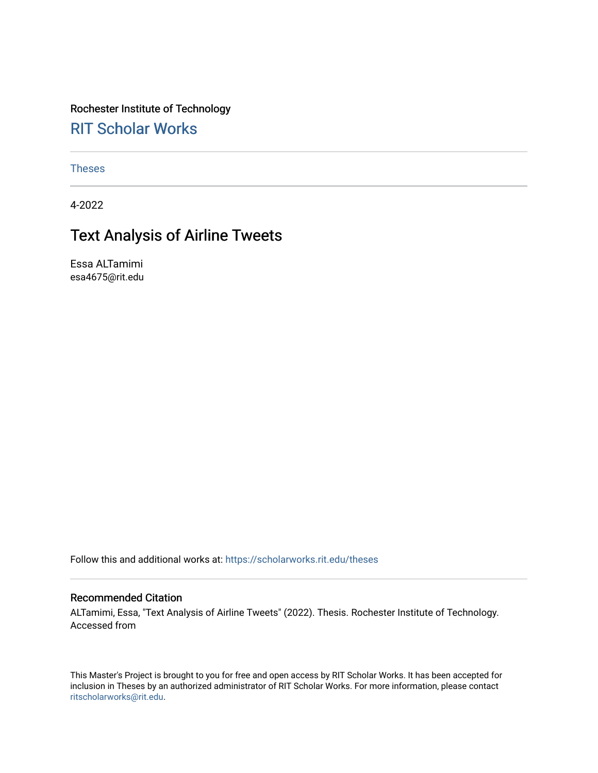Rochester Institute of Technology [RIT Scholar Works](https://scholarworks.rit.edu/)

[Theses](https://scholarworks.rit.edu/theses) 

4-2022

# Text Analysis of Airline Tweets

Essa ALTamimi esa4675@rit.edu

Follow this and additional works at: [https://scholarworks.rit.edu/theses](https://scholarworks.rit.edu/theses?utm_source=scholarworks.rit.edu%2Ftheses%2F11175&utm_medium=PDF&utm_campaign=PDFCoverPages) 

#### Recommended Citation

ALTamimi, Essa, "Text Analysis of Airline Tweets" (2022). Thesis. Rochester Institute of Technology. Accessed from

This Master's Project is brought to you for free and open access by RIT Scholar Works. It has been accepted for inclusion in Theses by an authorized administrator of RIT Scholar Works. For more information, please contact [ritscholarworks@rit.edu](mailto:ritscholarworks@rit.edu).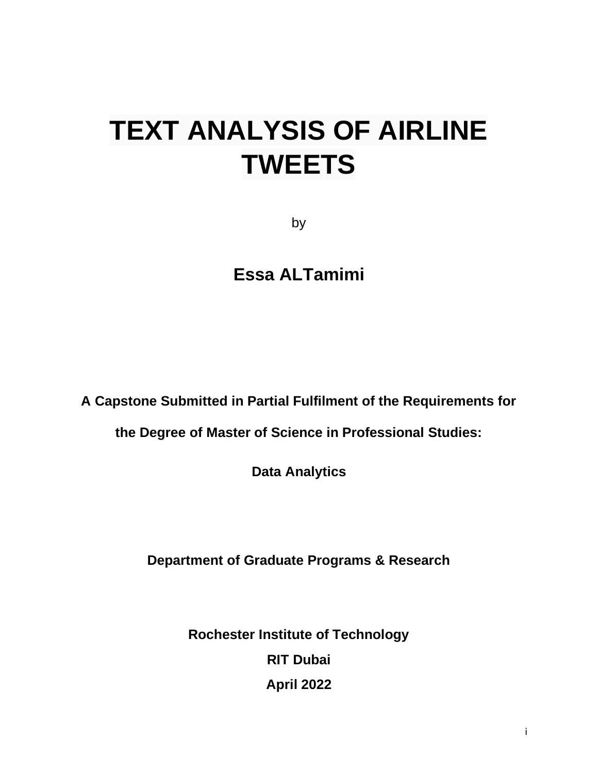# **TEXT ANALYSIS OF AIRLINE TWEETS**

by

**Essa ALTamimi**

**A Capstone Submitted in Partial Fulfilment of the Requirements for** 

**the Degree of Master of Science in Professional Studies:** 

**Data Analytics** 

**Department of Graduate Programs & Research**

**Rochester Institute of Technology RIT Dubai April 2022**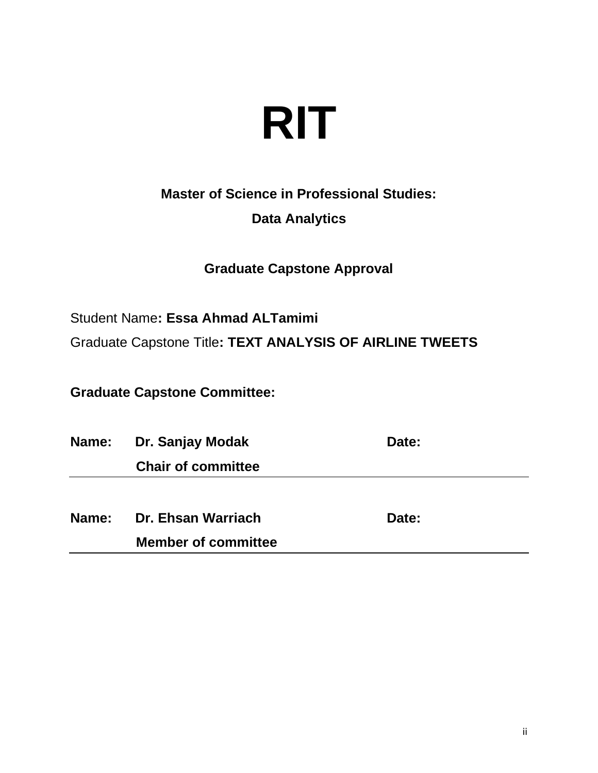# **RIT**

# **Master of Science in Professional Studies:**

### **Data Analytics**

# **Graduate Capstone Approval**

Student Name**: Essa Ahmad ALTamimi**

Graduate Capstone Title**: TEXT ANALYSIS OF AIRLINE TWEETS**

**Graduate Capstone Committee:**

**Name:** Dr. Sanjay Modak **Date:** Date:  **Chair of committee Name:** Dr. Ehsan Warriach **Date:** Date:

 **Member of committee**

ii in de de la provincia de la provincia de la provincia de la provincia de la provincia de la provincia del p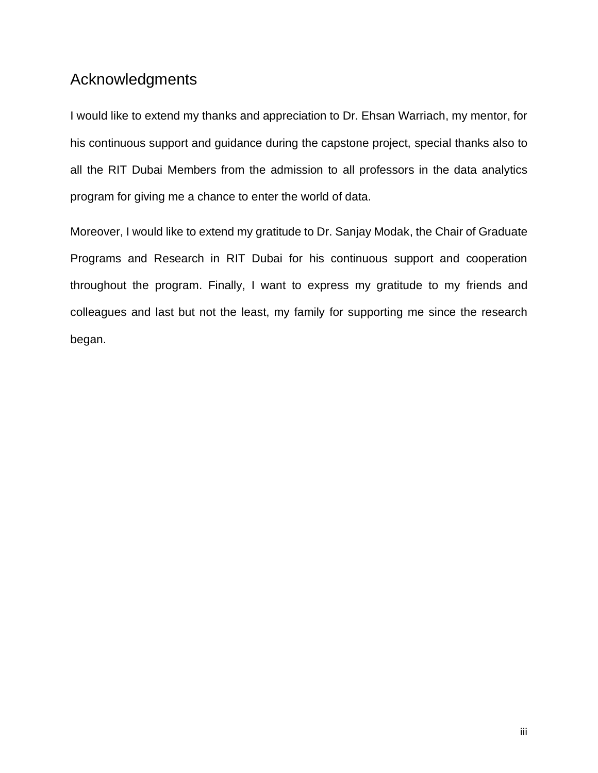# <span id="page-3-0"></span>Acknowledgments

I would like to extend my thanks and appreciation to Dr. Ehsan Warriach, my mentor, for his continuous support and guidance during the capstone project, special thanks also to all the RIT Dubai Members from the admission to all professors in the data analytics program for giving me a chance to enter the world of data.

Moreover, I would like to extend my gratitude to Dr. Sanjay Modak, the Chair of Graduate Programs and Research in RIT Dubai for his continuous support and cooperation throughout the program. Finally, I want to express my gratitude to my friends and colleagues and last but not the least, my family for supporting me since the research began.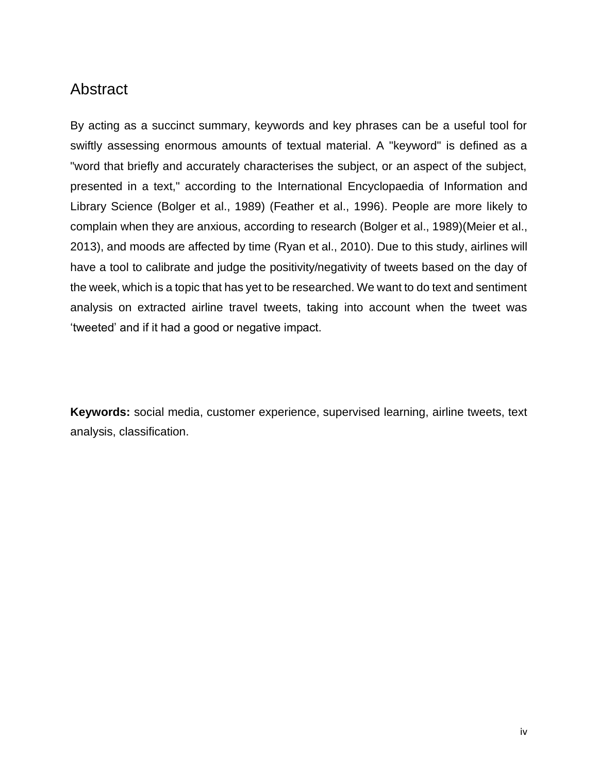### <span id="page-4-0"></span>Abstract

By acting as a succinct summary, keywords and key phrases can be a useful tool for swiftly assessing enormous amounts of textual material. A "keyword" is defined as a "word that briefly and accurately characterises the subject, or an aspect of the subject, presented in a text," according to the International Encyclopaedia of Information and Library Science (Bolger et al., 1989) (Feather et al., 1996). People are more likely to complain when they are anxious, according to research (Bolger et al., 1989)(Meier et al., 2013), and moods are affected by time (Ryan et al., 2010). Due to this study, airlines will have a tool to calibrate and judge the positivity/negativity of tweets based on the day of the week, which is a topic that has yet to be researched. We want to do text and sentiment analysis on extracted airline travel tweets, taking into account when the tweet was 'tweeted' and if it had a good or negative impact.

**Keywords:** social media, customer experience, supervised learning, airline tweets, text analysis, classification.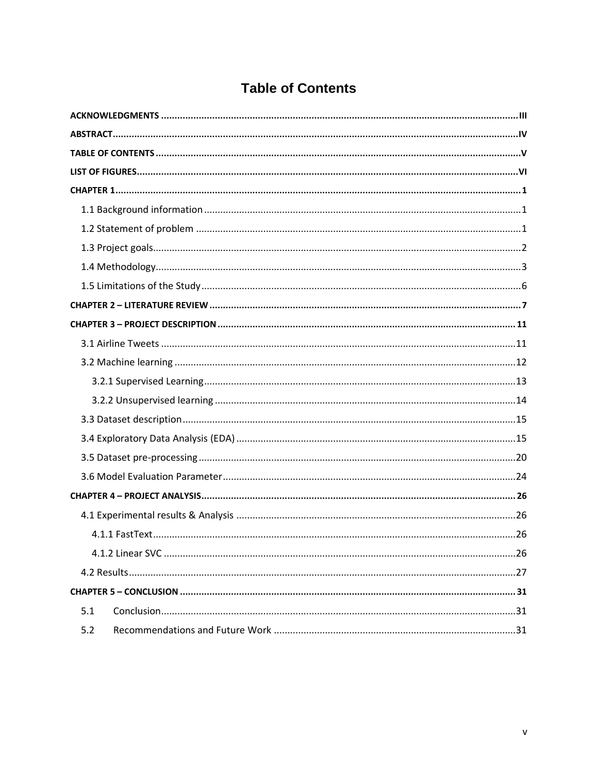# **Table of Contents**

<span id="page-5-0"></span>

| 5.1 |
|-----|
| 5.2 |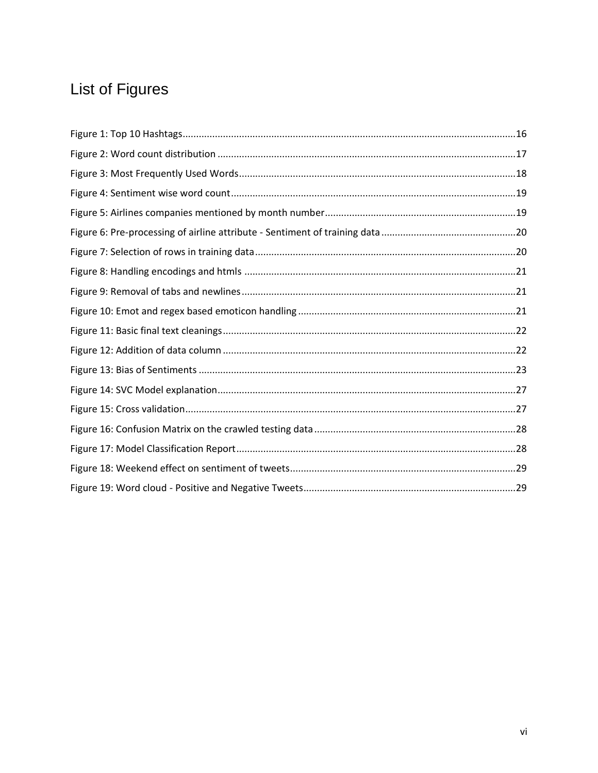# <span id="page-6-0"></span>List of Figures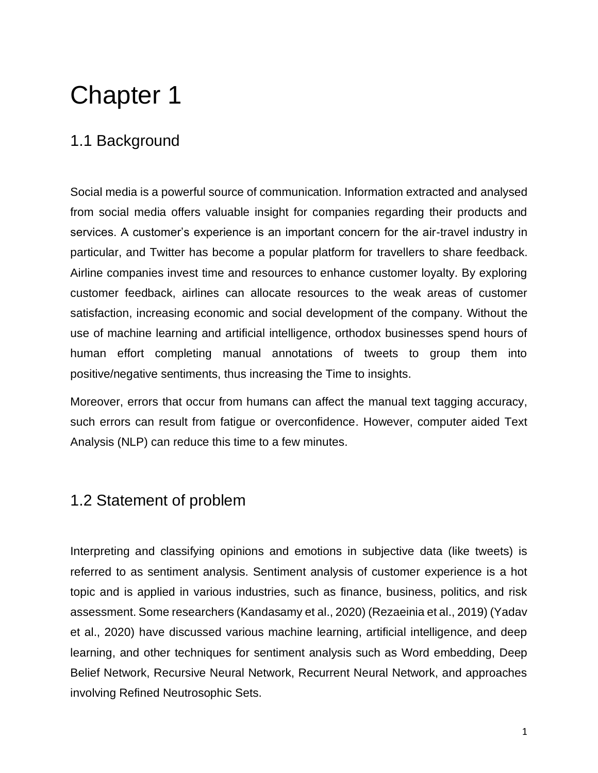# <span id="page-7-0"></span>Chapter 1

# <span id="page-7-1"></span>1.1 Background

Social media is a powerful source of communication. Information extracted and analysed from social media offers valuable insight for companies regarding their products and services. A customer's experience is an important concern for the air-travel industry in particular, and Twitter has become a popular platform for travellers to share feedback. Airline companies invest time and resources to enhance customer loyalty. By exploring customer feedback, airlines can allocate resources to the weak areas of customer satisfaction, increasing economic and social development of the company. Without the use of machine learning and artificial intelligence, orthodox businesses spend hours of human effort completing manual annotations of tweets to group them into positive/negative sentiments, thus increasing the Time to insights.

Moreover, errors that occur from humans can affect the manual text tagging accuracy, such errors can result from fatigue or overconfidence. However, computer aided Text Analysis (NLP) can reduce this time to a few minutes.

### <span id="page-7-2"></span>1.2 Statement of problem

Interpreting and classifying opinions and emotions in subjective data (like tweets) is referred to as sentiment analysis. Sentiment analysis of customer experience is a hot topic and is applied in various industries, such as finance, business, politics, and risk assessment. Some researchers (Kandasamy et al., 2020) (Rezaeinia et al., 2019) (Yadav et al., 2020) have discussed various machine learning, artificial intelligence, and deep learning, and other techniques for sentiment analysis such as Word embedding, Deep Belief Network, Recursive Neural Network, Recurrent Neural Network, and approaches involving Refined Neutrosophic Sets.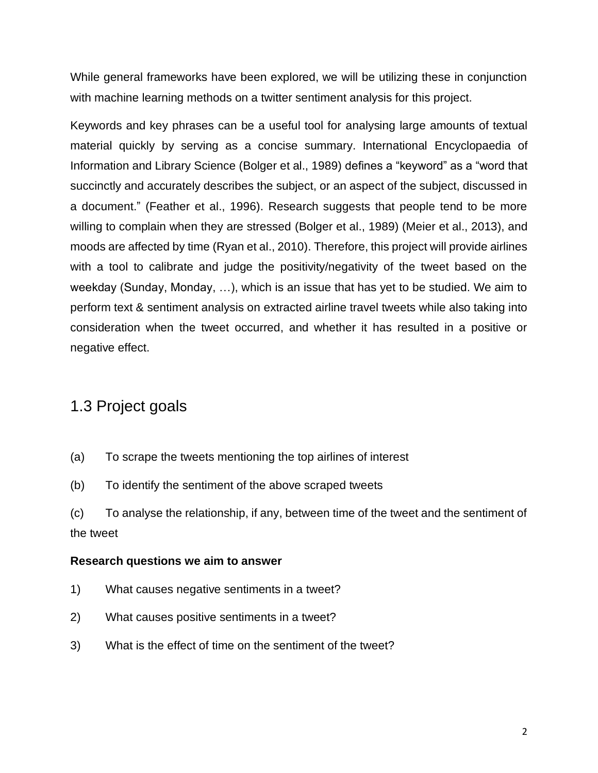While general frameworks have been explored, we will be utilizing these in conjunction with machine learning methods on a twitter sentiment analysis for this project.

Keywords and key phrases can be a useful tool for analysing large amounts of textual material quickly by serving as a concise summary. International Encyclopaedia of Information and Library Science (Bolger et al., 1989) defines a "keyword" as a "word that succinctly and accurately describes the subject, or an aspect of the subject, discussed in a document." (Feather et al., 1996). Research suggests that people tend to be more willing to complain when they are stressed (Bolger et al., 1989) (Meier et al., 2013), and moods are affected by time (Ryan et al., 2010). Therefore, this project will provide airlines with a tool to calibrate and judge the positivity/negativity of the tweet based on the weekday (Sunday, Monday, …), which is an issue that has yet to be studied. We aim to perform text & sentiment analysis on extracted airline travel tweets while also taking into consideration when the tweet occurred, and whether it has resulted in a positive or negative effect.

# <span id="page-8-0"></span>1.3 Project goals

- (a) To scrape the tweets mentioning the top airlines of interest
- (b) To identify the sentiment of the above scraped tweets
- (c) To analyse the relationship, if any, between time of the tweet and the sentiment of the tweet

#### **Research questions we aim to answer**

- 1) What causes negative sentiments in a tweet?
- 2) What causes positive sentiments in a tweet?
- 3) What is the effect of time on the sentiment of the tweet?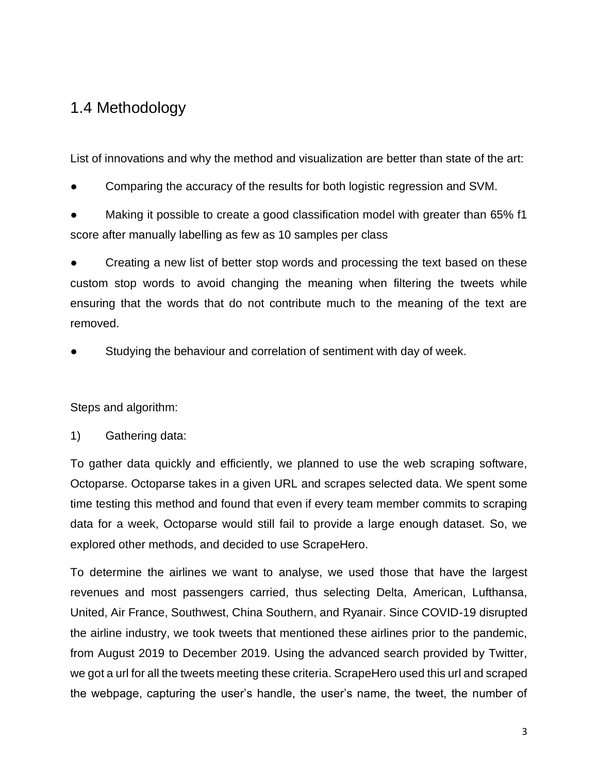# <span id="page-9-0"></span>1.4 Methodology

List of innovations and why the method and visualization are better than state of the art:

- Comparing the accuracy of the results for both logistic regression and SVM.
- Making it possible to create a good classification model with greater than 65% f1 score after manually labelling as few as 10 samples per class

Creating a new list of better stop words and processing the text based on these custom stop words to avoid changing the meaning when filtering the tweets while ensuring that the words that do not contribute much to the meaning of the text are removed.

Studying the behaviour and correlation of sentiment with day of week.

Steps and algorithm:

1) Gathering data:

To gather data quickly and efficiently, we planned to use the web scraping software, Octoparse. Octoparse takes in a given URL and scrapes selected data. We spent some time testing this method and found that even if every team member commits to scraping data for a week, Octoparse would still fail to provide a large enough dataset. So, we explored other methods, and decided to use ScrapeHero.

To determine the airlines we want to analyse, we used those that have the largest revenues and most passengers carried, thus selecting Delta, American, Lufthansa, United, Air France, Southwest, China Southern, and Ryanair. Since COVID-19 disrupted the airline industry, we took tweets that mentioned these airlines prior to the pandemic, from August 2019 to December 2019. Using the advanced search provided by Twitter, we got a url for all the tweets meeting these criteria. ScrapeHero used this url and scraped the webpage, capturing the user's handle, the user's name, the tweet, the number of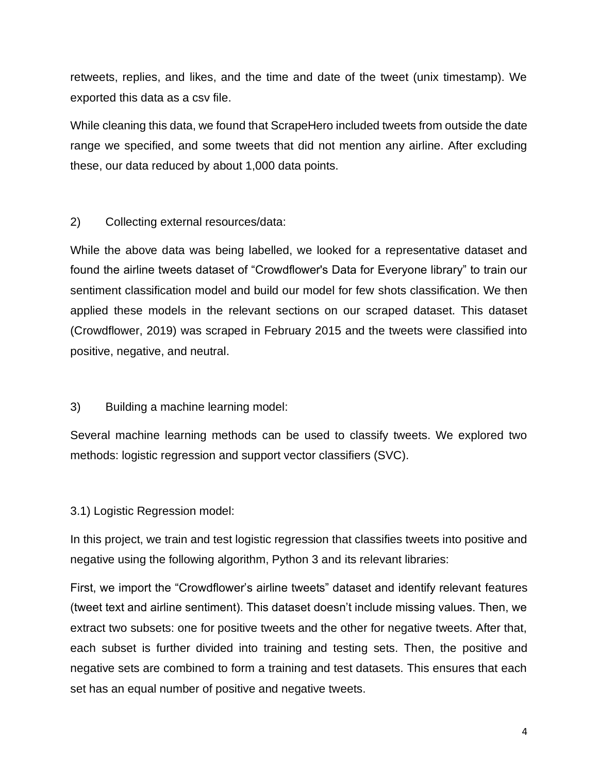retweets, replies, and likes, and the time and date of the tweet (unix timestamp). We exported this data as a csv file.

While cleaning this data, we found that ScrapeHero included tweets from outside the date range we specified, and some tweets that did not mention any airline. After excluding these, our data reduced by about 1,000 data points.

2) Collecting external resources/data:

While the above data was being labelled, we looked for a representative dataset and found the airline tweets dataset of "Crowdflower's Data for Everyone library" to train our sentiment classification model and build our model for few shots classification. We then applied these models in the relevant sections on our scraped dataset. This dataset (Crowdflower, 2019) was scraped in February 2015 and the tweets were classified into positive, negative, and neutral.

3) Building a machine learning model:

Several machine learning methods can be used to classify tweets. We explored two methods: logistic regression and support vector classifiers (SVC).

3.1) Logistic Regression model:

In this project, we train and test logistic regression that classifies tweets into positive and negative using the following algorithm, Python 3 and its relevant libraries:

First, we import the "Crowdflower's airline tweets" dataset and identify relevant features (tweet text and airline sentiment). This dataset doesn't include missing values. Then, we extract two subsets: one for positive tweets and the other for negative tweets. After that, each subset is further divided into training and testing sets. Then, the positive and negative sets are combined to form a training and test datasets. This ensures that each set has an equal number of positive and negative tweets.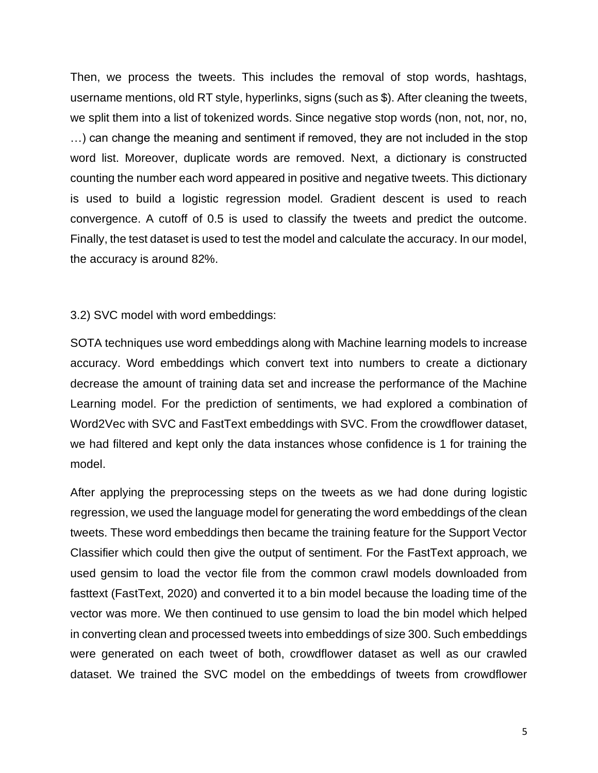Then, we process the tweets. This includes the removal of stop words, hashtags, username mentions, old RT style, hyperlinks, signs (such as \$). After cleaning the tweets, we split them into a list of tokenized words. Since negative stop words (non, not, nor, no, …) can change the meaning and sentiment if removed, they are not included in the stop word list. Moreover, duplicate words are removed. Next, a dictionary is constructed counting the number each word appeared in positive and negative tweets. This dictionary is used to build a logistic regression model. Gradient descent is used to reach convergence. A cutoff of 0.5 is used to classify the tweets and predict the outcome. Finally, the test dataset is used to test the model and calculate the accuracy. In our model, the accuracy is around 82%.

#### 3.2) SVC model with word embeddings:

SOTA techniques use word embeddings along with Machine learning models to increase accuracy. Word embeddings which convert text into numbers to create a dictionary decrease the amount of training data set and increase the performance of the Machine Learning model. For the prediction of sentiments, we had explored a combination of Word2Vec with SVC and FastText embeddings with SVC. From the crowdflower dataset, we had filtered and kept only the data instances whose confidence is 1 for training the model.

After applying the preprocessing steps on the tweets as we had done during logistic regression, we used the language model for generating the word embeddings of the clean tweets. These word embeddings then became the training feature for the Support Vector Classifier which could then give the output of sentiment. For the FastText approach, we used gensim to load the vector file from the common crawl models downloaded from fasttext (FastText, 2020) and converted it to a bin model because the loading time of the vector was more. We then continued to use gensim to load the bin model which helped in converting clean and processed tweets into embeddings of size 300. Such embeddings were generated on each tweet of both, crowdflower dataset as well as our crawled dataset. We trained the SVC model on the embeddings of tweets from crowdflower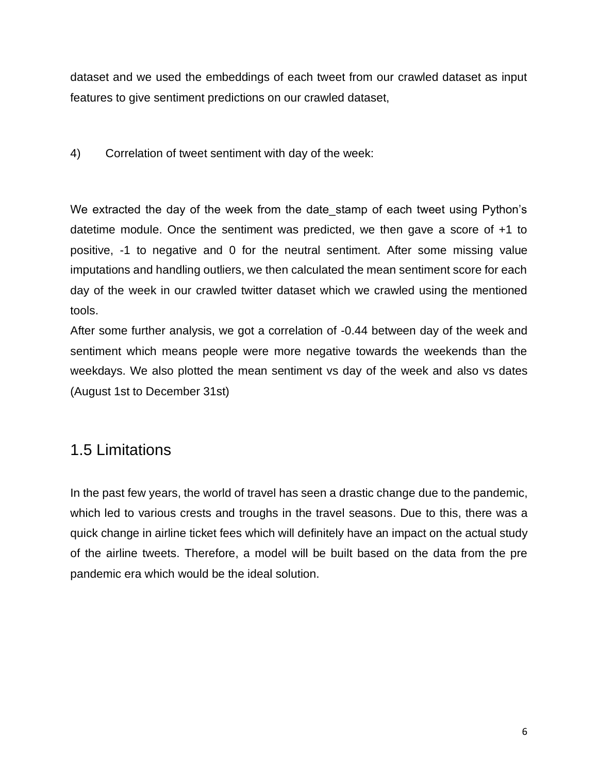dataset and we used the embeddings of each tweet from our crawled dataset as input features to give sentiment predictions on our crawled dataset,

#### 4) Correlation of tweet sentiment with day of the week:

We extracted the day of the week from the date stamp of each tweet using Python's datetime module. Once the sentiment was predicted, we then gave a score of +1 to positive, -1 to negative and 0 for the neutral sentiment. After some missing value imputations and handling outliers, we then calculated the mean sentiment score for each day of the week in our crawled twitter dataset which we crawled using the mentioned tools.

After some further analysis, we got a correlation of -0.44 between day of the week and sentiment which means people were more negative towards the weekends than the weekdays. We also plotted the mean sentiment vs day of the week and also vs dates (August 1st to December 31st)

### <span id="page-12-0"></span>1.5 Limitations

In the past few years, the world of travel has seen a drastic change due to the pandemic, which led to various crests and troughs in the travel seasons. Due to this, there was a quick change in airline ticket fees which will definitely have an impact on the actual study of the airline tweets. Therefore, a model will be built based on the data from the pre pandemic era which would be the ideal solution.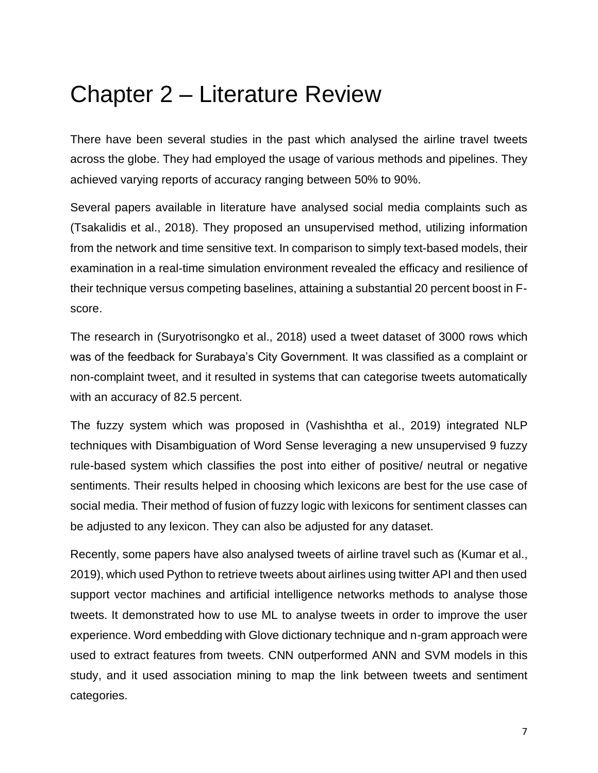# <span id="page-13-0"></span>Chapter 2 – Literature Review

There have been several studies in the past which analysed the airline travel tweets across the globe. They had employed the usage of various methods and pipelines. They achieved varying reports of accuracy ranging between 50% to 90%.

Several papers available in literature have analysed social media complaints such as (Tsakalidis et al., 2018). They proposed an unsupervised method, utilizing information from the network and time sensitive text. In comparison to simply text-based models, their examination in a real-time simulation environment revealed the efficacy and resilience of their technique versus competing baselines, attaining a substantial 20 percent boost in Fscore.

The research in (Suryotrisongko et al., 2018) used a tweet dataset of 3000 rows which was of the feedback for Surabaya's City Government. It was classified as a complaint or non-complaint tweet, and it resulted in systems that can categorise tweets automatically with an accuracy of 82.5 percent.

The fuzzy system which was proposed in (Vashishtha et al., 2019) integrated NLP techniques with Disambiguation of Word Sense leveraging a new unsupervised 9 fuzzy rule-based system which classifies the post into either of positive/ neutral or negative sentiments. Their results helped in choosing which lexicons are best for the use case of social media. Their method of fusion of fuzzy logic with lexicons for sentiment classes can be adjusted to any lexicon. They can also be adjusted for any dataset.

Recently, some papers have also analysed tweets of airline travel such as (Kumar et al., 2019), which used Python to retrieve tweets about airlines using twitter API and then used support vector machines and artificial intelligence networks methods to analyse those tweets. It demonstrated how to use ML to analyse tweets in order to improve the user experience. Word embedding with Glove dictionary technique and n-gram approach were used to extract features from tweets. CNN outperformed ANN and SVM models in this study, and it used association mining to map the link between tweets and sentiment categories.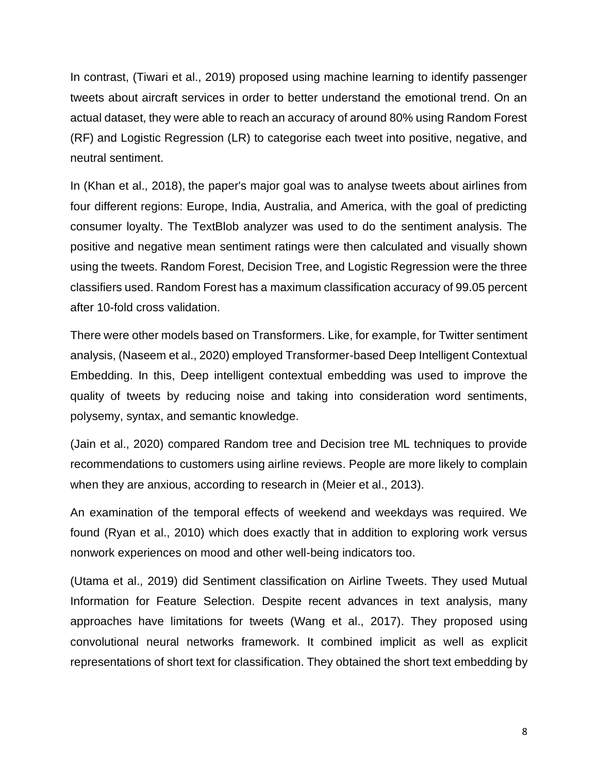In contrast, (Tiwari et al., 2019) proposed using machine learning to identify passenger tweets about aircraft services in order to better understand the emotional trend. On an actual dataset, they were able to reach an accuracy of around 80% using Random Forest (RF) and Logistic Regression (LR) to categorise each tweet into positive, negative, and neutral sentiment.

In (Khan et al., 2018), the paper's major goal was to analyse tweets about airlines from four different regions: Europe, India, Australia, and America, with the goal of predicting consumer loyalty. The TextBlob analyzer was used to do the sentiment analysis. The positive and negative mean sentiment ratings were then calculated and visually shown using the tweets. Random Forest, Decision Tree, and Logistic Regression were the three classifiers used. Random Forest has a maximum classification accuracy of 99.05 percent after 10-fold cross validation.

There were other models based on Transformers. Like, for example, for Twitter sentiment analysis, (Naseem et al., 2020) employed Transformer-based Deep Intelligent Contextual Embedding. In this, Deep intelligent contextual embedding was used to improve the quality of tweets by reducing noise and taking into consideration word sentiments, polysemy, syntax, and semantic knowledge.

(Jain et al., 2020) compared Random tree and Decision tree ML techniques to provide recommendations to customers using airline reviews. People are more likely to complain when they are anxious, according to research in (Meier et al., 2013).

An examination of the temporal effects of weekend and weekdays was required. We found (Ryan et al., 2010) which does exactly that in addition to exploring work versus nonwork experiences on mood and other well-being indicators too.

(Utama et al., 2019) did Sentiment classification on Airline Tweets. They used Mutual Information for Feature Selection. Despite recent advances in text analysis, many approaches have limitations for tweets (Wang et al., 2017). They proposed using convolutional neural networks framework. It combined implicit as well as explicit representations of short text for classification. They obtained the short text embedding by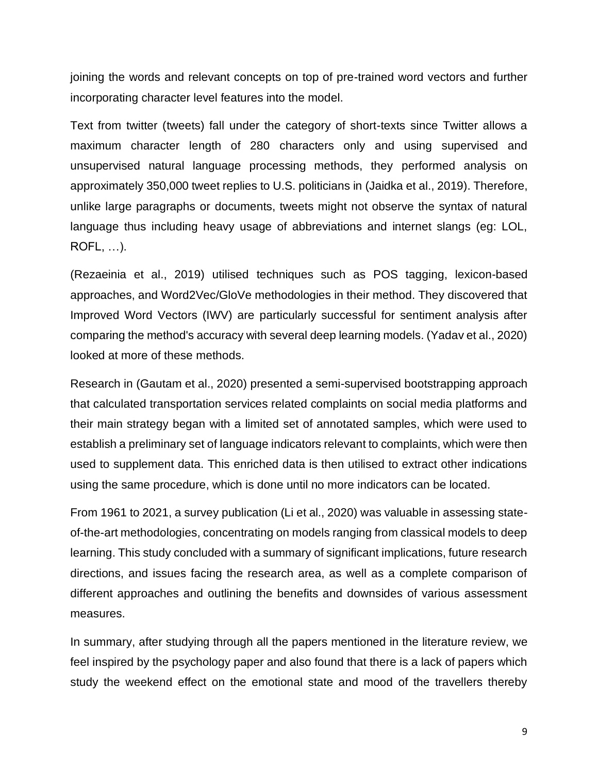joining the words and relevant concepts on top of pre-trained word vectors and further incorporating character level features into the model.

Text from twitter (tweets) fall under the category of short-texts since Twitter allows a maximum character length of 280 characters only and using supervised and unsupervised natural language processing methods, they performed analysis on approximately 350,000 tweet replies to U.S. politicians in (Jaidka et al., 2019). Therefore, unlike large paragraphs or documents, tweets might not observe the syntax of natural language thus including heavy usage of abbreviations and internet slangs (eg: LOL, ROFL, …).

(Rezaeinia et al., 2019) utilised techniques such as POS tagging, lexicon-based approaches, and Word2Vec/GloVe methodologies in their method. They discovered that Improved Word Vectors (IWV) are particularly successful for sentiment analysis after comparing the method's accuracy with several deep learning models. (Yadav et al., 2020) looked at more of these methods.

Research in (Gautam et al., 2020) presented a semi-supervised bootstrapping approach that calculated transportation services related complaints on social media platforms and their main strategy began with a limited set of annotated samples, which were used to establish a preliminary set of language indicators relevant to complaints, which were then used to supplement data. This enriched data is then utilised to extract other indications using the same procedure, which is done until no more indicators can be located.

From 1961 to 2021, a survey publication (Li et al., 2020) was valuable in assessing stateof-the-art methodologies, concentrating on models ranging from classical models to deep learning. This study concluded with a summary of significant implications, future research directions, and issues facing the research area, as well as a complete comparison of different approaches and outlining the benefits and downsides of various assessment measures.

In summary, after studying through all the papers mentioned in the literature review, we feel inspired by the psychology paper and also found that there is a lack of papers which study the weekend effect on the emotional state and mood of the travellers thereby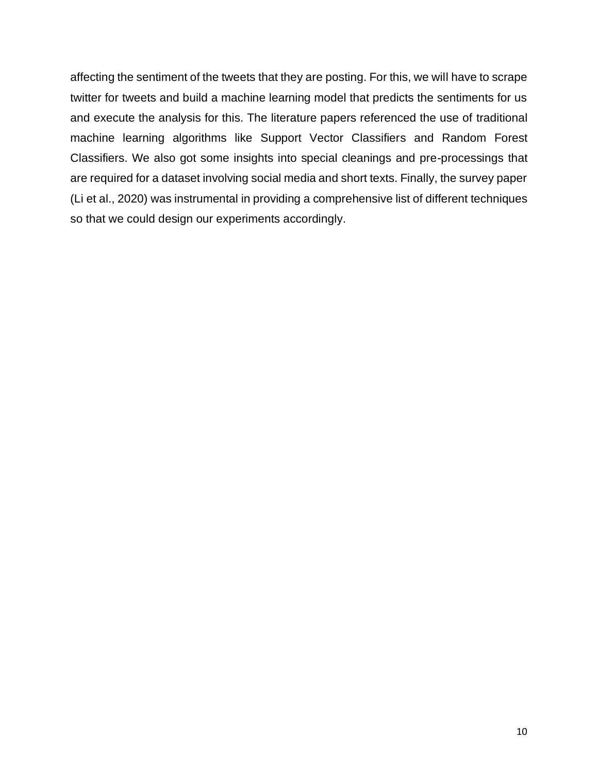affecting the sentiment of the tweets that they are posting. For this, we will have to scrape twitter for tweets and build a machine learning model that predicts the sentiments for us and execute the analysis for this. The literature papers referenced the use of traditional machine learning algorithms like Support Vector Classifiers and Random Forest Classifiers. We also got some insights into special cleanings and pre-processings that are required for a dataset involving social media and short texts. Finally, the survey paper (Li et al., 2020) was instrumental in providing a comprehensive list of different techniques so that we could design our experiments accordingly.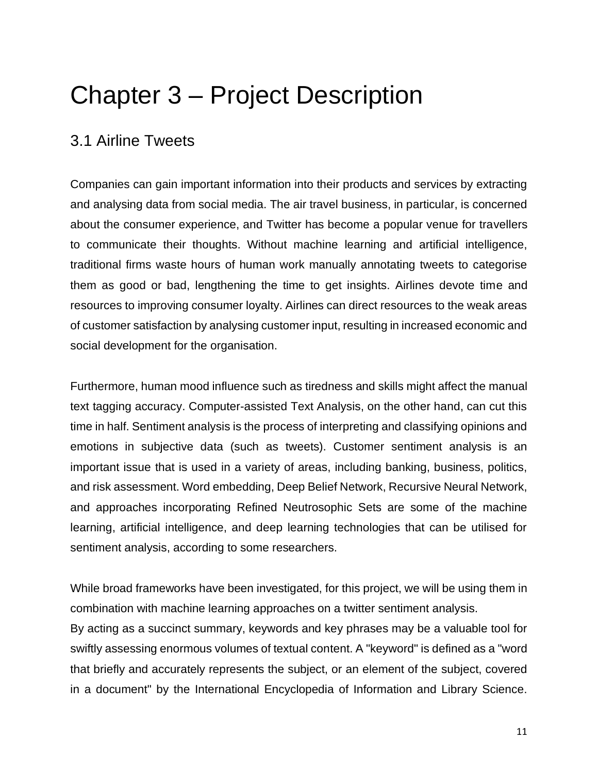# <span id="page-17-0"></span>Chapter 3 – Project Description

# <span id="page-17-1"></span>3.1 Airline Tweets

Companies can gain important information into their products and services by extracting and analysing data from social media. The air travel business, in particular, is concerned about the consumer experience, and Twitter has become a popular venue for travellers to communicate their thoughts. Without machine learning and artificial intelligence, traditional firms waste hours of human work manually annotating tweets to categorise them as good or bad, lengthening the time to get insights. Airlines devote time and resources to improving consumer loyalty. Airlines can direct resources to the weak areas of customer satisfaction by analysing customer input, resulting in increased economic and social development for the organisation.

Furthermore, human mood influence such as tiredness and skills might affect the manual text tagging accuracy. Computer-assisted Text Analysis, on the other hand, can cut this time in half. Sentiment analysis is the process of interpreting and classifying opinions and emotions in subjective data (such as tweets). Customer sentiment analysis is an important issue that is used in a variety of areas, including banking, business, politics, and risk assessment. Word embedding, Deep Belief Network, Recursive Neural Network, and approaches incorporating Refined Neutrosophic Sets are some of the machine learning, artificial intelligence, and deep learning technologies that can be utilised for sentiment analysis, according to some researchers.

While broad frameworks have been investigated, for this project, we will be using them in combination with machine learning approaches on a twitter sentiment analysis.

By acting as a succinct summary, keywords and key phrases may be a valuable tool for swiftly assessing enormous volumes of textual content. A "keyword" is defined as a "word that briefly and accurately represents the subject, or an element of the subject, covered in a document" by the International Encyclopedia of Information and Library Science.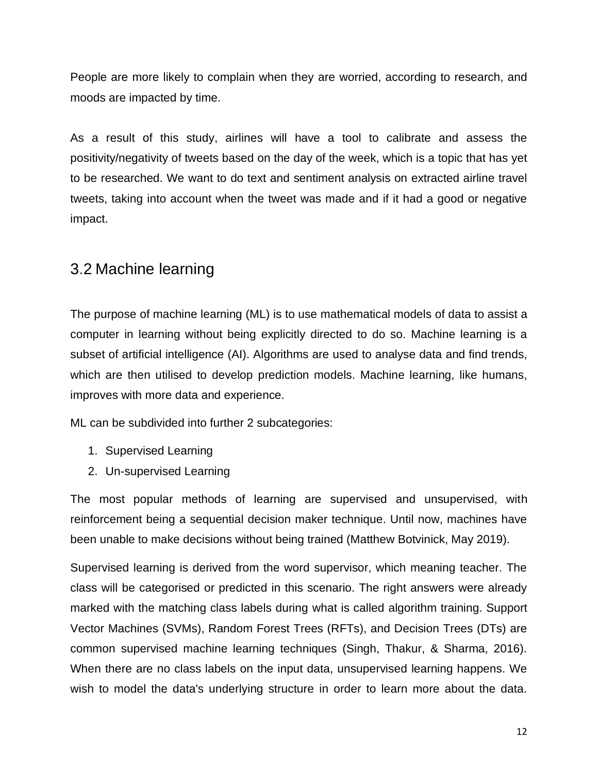People are more likely to complain when they are worried, according to research, and moods are impacted by time.

As a result of this study, airlines will have a tool to calibrate and assess the positivity/negativity of tweets based on the day of the week, which is a topic that has yet to be researched. We want to do text and sentiment analysis on extracted airline travel tweets, taking into account when the tweet was made and if it had a good or negative impact.

### <span id="page-18-0"></span>3.2 Machine learning

The purpose of machine learning (ML) is to use mathematical models of data to assist a computer in learning without being explicitly directed to do so. Machine learning is a subset of artificial intelligence (AI). Algorithms are used to analyse data and find trends, which are then utilised to develop prediction models. Machine learning, like humans, improves with more data and experience.

ML can be subdivided into further 2 subcategories:

- 1. Supervised Learning
- 2. Un-supervised Learning

The most popular methods of learning are supervised and unsupervised, with reinforcement being a sequential decision maker technique. Until now, machines have been unable to make decisions without being trained (Matthew Botvinick, May 2019).

Supervised learning is derived from the word supervisor, which meaning teacher. The class will be categorised or predicted in this scenario. The right answers were already marked with the matching class labels during what is called algorithm training. Support Vector Machines (SVMs), Random Forest Trees (RFTs), and Decision Trees (DTs) are common supervised machine learning techniques (Singh, Thakur, & Sharma, 2016). When there are no class labels on the input data, unsupervised learning happens. We wish to model the data's underlying structure in order to learn more about the data.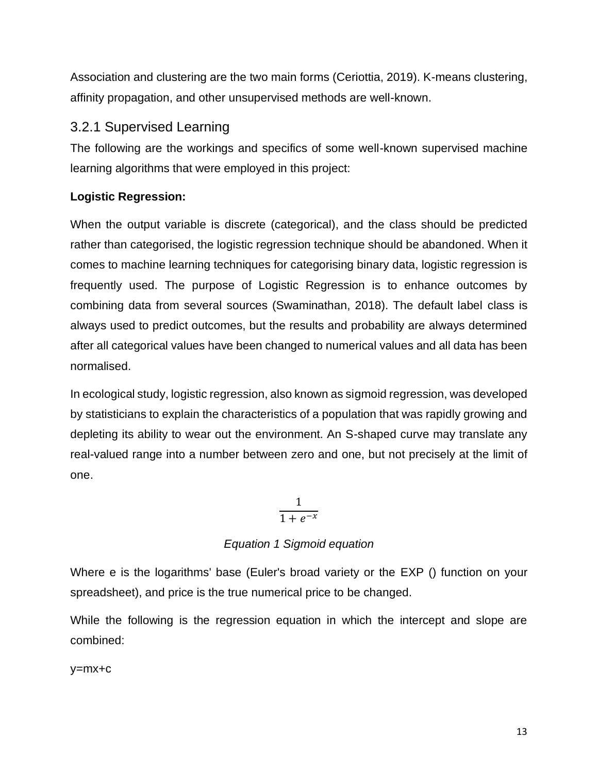Association and clustering are the two main forms (Ceriottia, 2019). K-means clustering, affinity propagation, and other unsupervised methods are well-known.

#### <span id="page-19-0"></span>3.2.1 Supervised Learning

The following are the workings and specifics of some well-known supervised machine learning algorithms that were employed in this project:

#### **Logistic Regression:**

When the output variable is discrete (categorical), and the class should be predicted rather than categorised, the logistic regression technique should be abandoned. When it comes to machine learning techniques for categorising binary data, logistic regression is frequently used. The purpose of Logistic Regression is to enhance outcomes by combining data from several sources (Swaminathan, 2018). The default label class is always used to predict outcomes, but the results and probability are always determined after all categorical values have been changed to numerical values and all data has been normalised.

In ecological study, logistic regression, also known as sigmoid regression, was developed by statisticians to explain the characteristics of a population that was rapidly growing and depleting its ability to wear out the environment. An S-shaped curve may translate any real-valued range into a number between zero and one, but not precisely at the limit of one.

> 1  $1 + e^{-x}$

#### *Equation 1 Sigmoid equation*

Where e is the logarithms' base (Euler's broad variety or the EXP () function on your spreadsheet), and price is the true numerical price to be changed.

While the following is the regression equation in which the intercept and slope are combined:

y=mx+c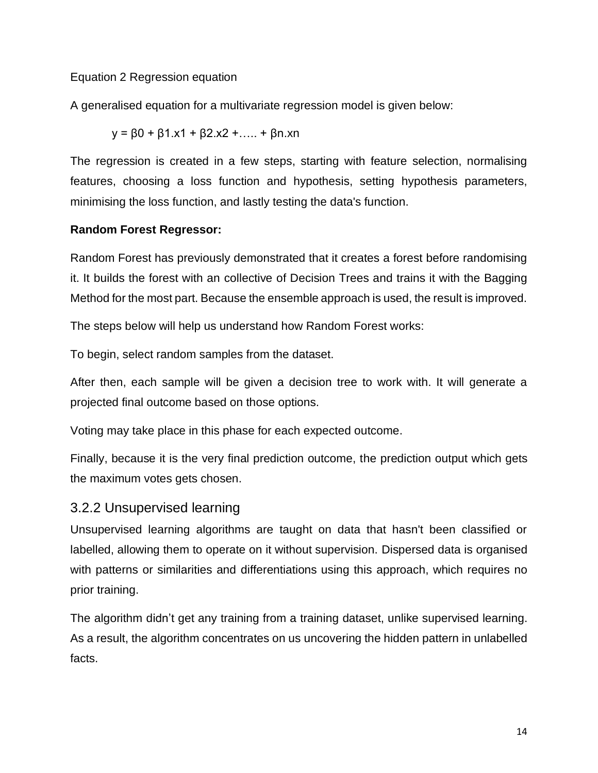#### Equation 2 Regression equation

A generalised equation for a multivariate regression model is given below:

$$
y = \beta 0 + \beta 1.x1 + \beta 2.x2 + \dots + \beta n.xn
$$

The regression is created in a few steps, starting with feature selection, normalising features, choosing a loss function and hypothesis, setting hypothesis parameters, minimising the loss function, and lastly testing the data's function.

#### **Random Forest Regressor:**

Random Forest has previously demonstrated that it creates a forest before randomising it. It builds the forest with an collective of Decision Trees and trains it with the Bagging Method for the most part. Because the ensemble approach is used, the result is improved.

The steps below will help us understand how Random Forest works:

To begin, select random samples from the dataset.

After then, each sample will be given a decision tree to work with. It will generate a projected final outcome based on those options.

Voting may take place in this phase for each expected outcome.

Finally, because it is the very final prediction outcome, the prediction output which gets the maximum votes gets chosen.

#### <span id="page-20-0"></span>3.2.2 Unsupervised learning

Unsupervised learning algorithms are taught on data that hasn't been classified or labelled, allowing them to operate on it without supervision. Dispersed data is organised with patterns or similarities and differentiations using this approach, which requires no prior training.

The algorithm didn't get any training from a training dataset, unlike supervised learning. As a result, the algorithm concentrates on us uncovering the hidden pattern in unlabelled facts.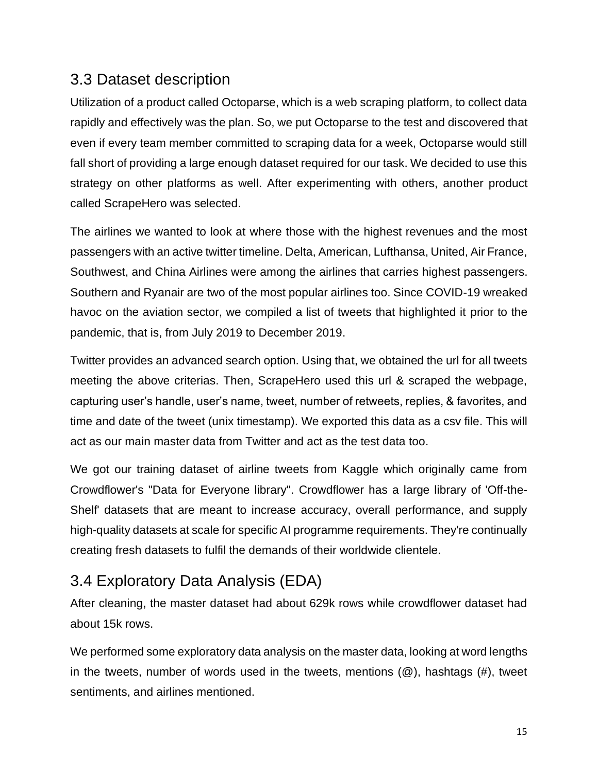# <span id="page-21-0"></span>3.3 Dataset description

Utilization of a product called Octoparse, which is a web scraping platform, to collect data rapidly and effectively was the plan. So, we put Octoparse to the test and discovered that even if every team member committed to scraping data for a week, Octoparse would still fall short of providing a large enough dataset required for our task. We decided to use this strategy on other platforms as well. After experimenting with others, another product called ScrapeHero was selected.

The airlines we wanted to look at where those with the highest revenues and the most passengers with an active twitter timeline. Delta, American, Lufthansa, United, Air France, Southwest, and China Airlines were among the airlines that carries highest passengers. Southern and Ryanair are two of the most popular airlines too. Since COVID-19 wreaked havoc on the aviation sector, we compiled a list of tweets that highlighted it prior to the pandemic, that is, from July 2019 to December 2019.

Twitter provides an advanced search option. Using that, we obtained the url for all tweets meeting the above criterias. Then, ScrapeHero used this url & scraped the webpage, capturing user's handle, user's name, tweet, number of retweets, replies, & favorites, and time and date of the tweet (unix timestamp). We exported this data as a csv file. This will act as our main master data from Twitter and act as the test data too.

We got our training dataset of airline tweets from Kaggle which originally came from Crowdflower's "Data for Everyone library". Crowdflower has a large library of 'Off-the-Shelf' datasets that are meant to increase accuracy, overall performance, and supply high-quality datasets at scale for specific AI programme requirements. They're continually creating fresh datasets to fulfil the demands of their worldwide clientele.

# <span id="page-21-1"></span>3.4 Exploratory Data Analysis (EDA)

After cleaning, the master dataset had about 629k rows while crowdflower dataset had about 15k rows.

We performed some exploratory data analysis on the master data, looking at word lengths in the tweets, number of words used in the tweets, mentions  $(\mathcal{Q})$ , hashtags  $(\#)$ , tweet sentiments, and airlines mentioned.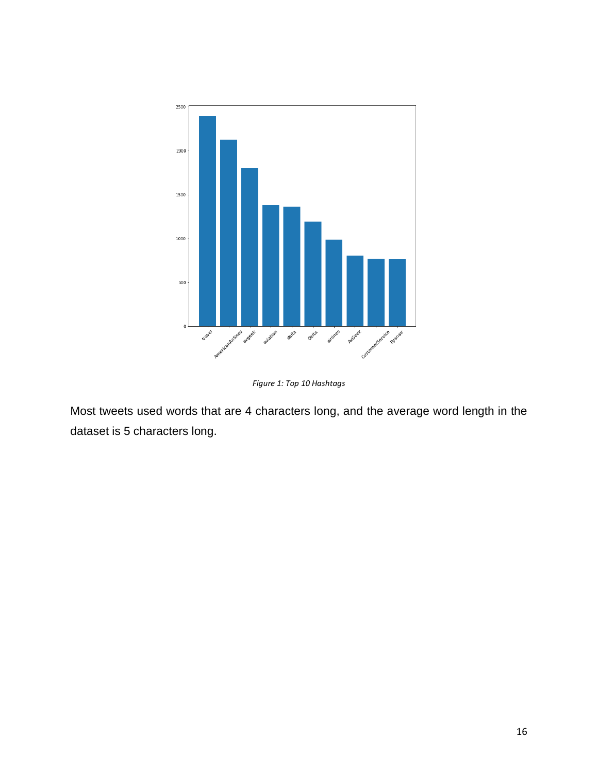

*Figure 1: Top 10 Hashtags*

<span id="page-22-0"></span>Most tweets used words that are 4 characters long, and the average word length in the dataset is 5 characters long.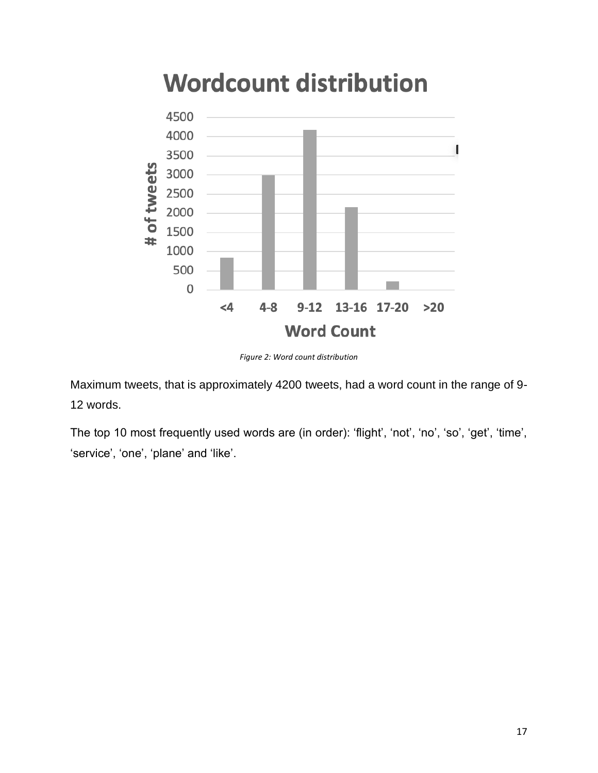

# **Wordcount distribution**

*Figure 2: Word count distribution*

<span id="page-23-0"></span>Maximum tweets, that is approximately 4200 tweets, had a word count in the range of 9- 12 words.

The top 10 most frequently used words are (in order): 'flight', 'not', 'no', 'so', 'get', 'time', 'service', 'one', 'plane' and 'like'.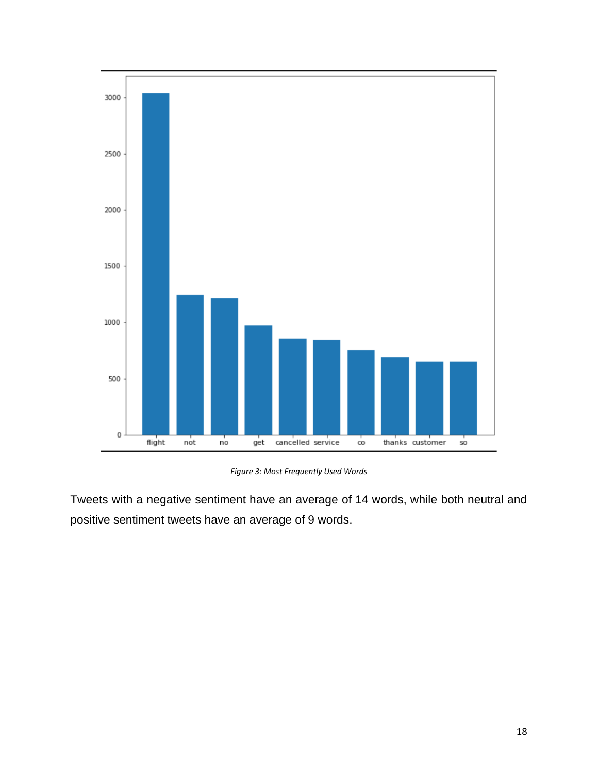

*Figure 3: Most Frequently Used Words*

<span id="page-24-0"></span>Tweets with a negative sentiment have an average of 14 words, while both neutral and positive sentiment tweets have an average of 9 words.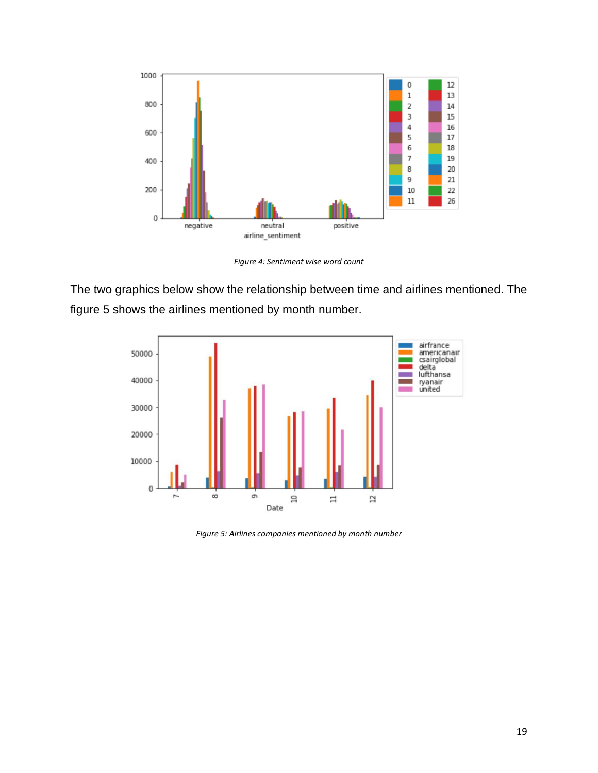

*Figure 4: Sentiment wise word count*

<span id="page-25-0"></span>The two graphics below show the relationship between time and airlines mentioned. The figure 5 shows the airlines mentioned by month number.



<span id="page-25-1"></span>*Figure 5: Airlines companies mentioned by month number*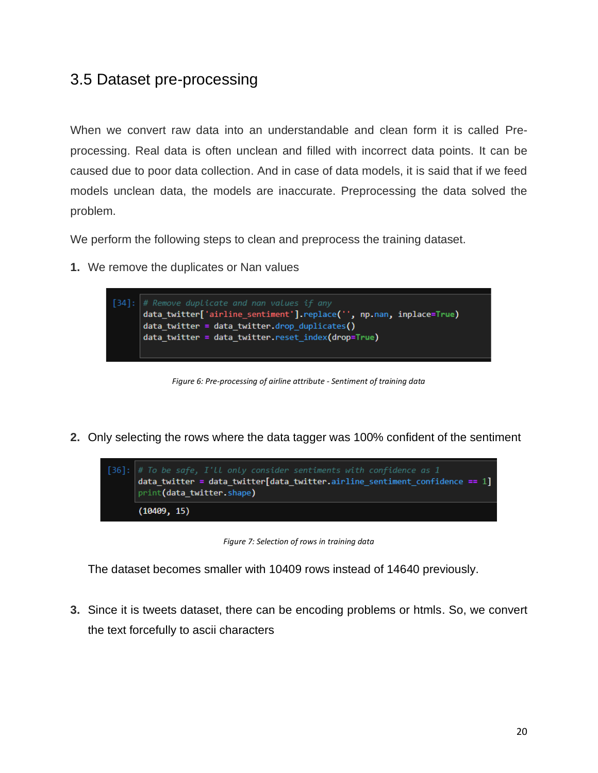# <span id="page-26-0"></span>3.5 Dataset pre-processing

When we convert raw data into an understandable and clean form it is called Preprocessing. Real data is often unclean and filled with incorrect data points. It can be caused due to poor data collection. And in case of data models, it is said that if we feed models unclean data, the models are inaccurate. Preprocessing the data solved the problem.

We perform the following steps to clean and preprocess the training dataset.

**1.** We remove the duplicates or Nan values



*Figure 6: Pre-processing of airline attribute - Sentiment of training data*

<span id="page-26-1"></span>**2.** Only selecting the rows where the data tagger was 100% confident of the sentiment



*Figure 7: Selection of rows in training data*

<span id="page-26-2"></span>The dataset becomes smaller with 10409 rows instead of 14640 previously.

**3.** Since it is tweets dataset, there can be encoding problems or htmls. So, we convert the text forcefully to ascii characters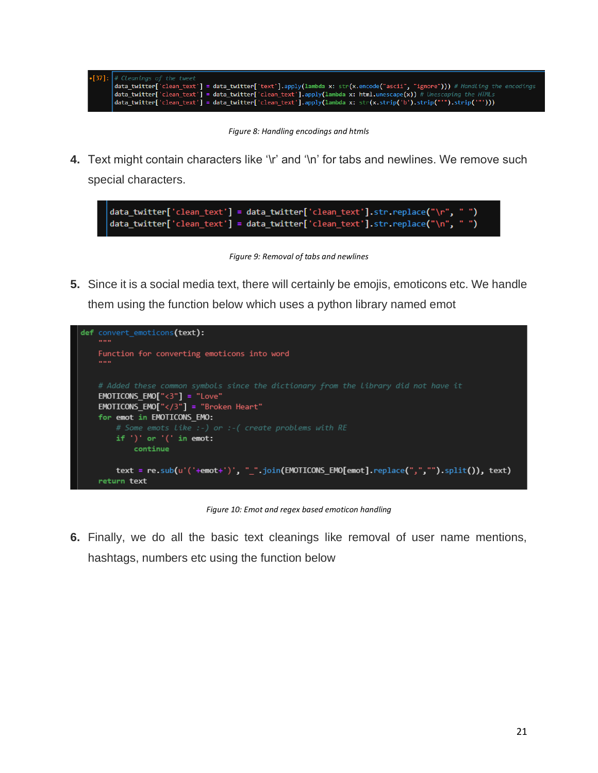

*Figure 8: Handling encodings and htmls*

<span id="page-27-0"></span>**4.** Text might contain characters like '\r' and '\n' for tabs and newlines. We remove such special characters.

data\_twitter['clean\_text'] = data\_twitter['clean\_text'].str.replace("\r", "") data\_twitter['clean\_text'] = data\_twitter['clean\_text'].str.replace("\n",

*Figure 9: Removal of tabs and newlines*

<span id="page-27-1"></span>**5.** Since it is a social media text, there will certainly be emojis, emoticons etc. We handle them using the function below which uses a python library named emot



*Figure 10: Emot and regex based emoticon handling*

<span id="page-27-2"></span>**6.** Finally, we do all the basic text cleanings like removal of user name mentions, hashtags, numbers etc using the function below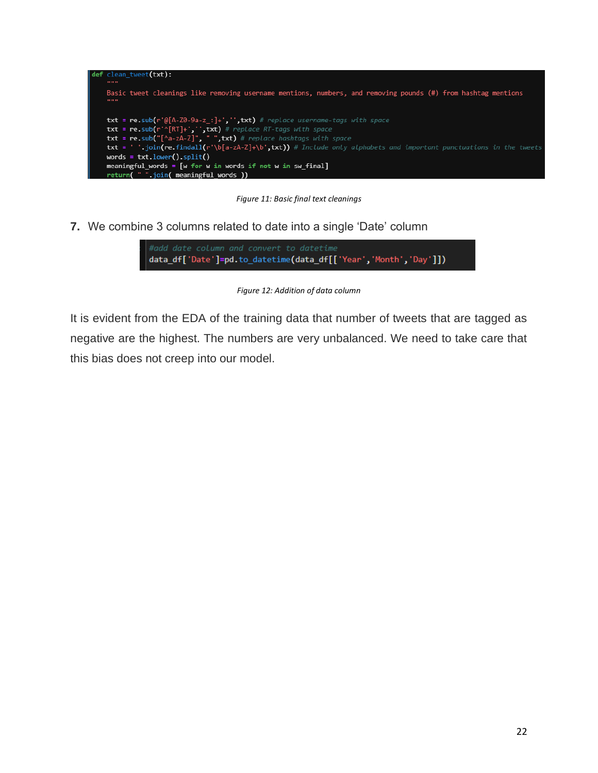

*Figure 11: Basic final text cleanings*

<span id="page-28-0"></span>**7.** We combine 3 columns related to date into a single 'Date' column



*Figure 12: Addition of data column*

<span id="page-28-1"></span>It is evident from the EDA of the training data that number of tweets that are tagged as negative are the highest. The numbers are very unbalanced. We need to take care that this bias does not creep into our model.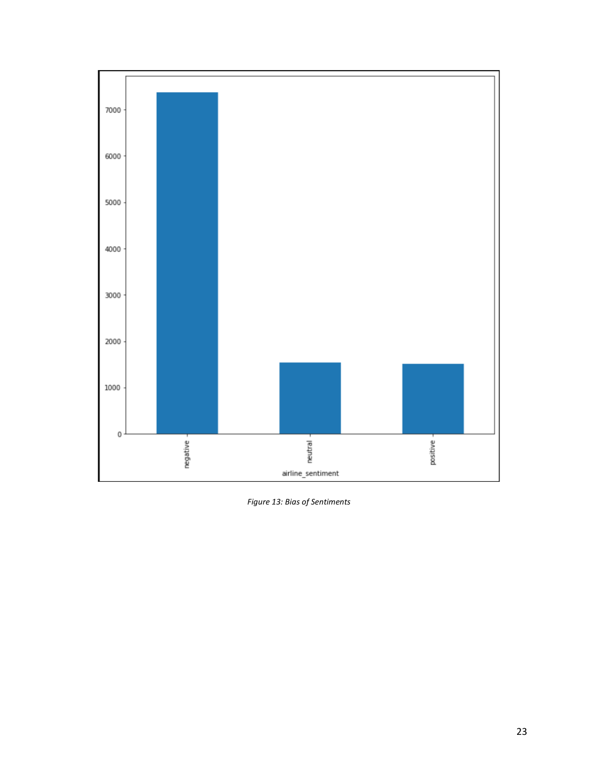

<span id="page-29-0"></span>*Figure 13: Bias of Sentiments*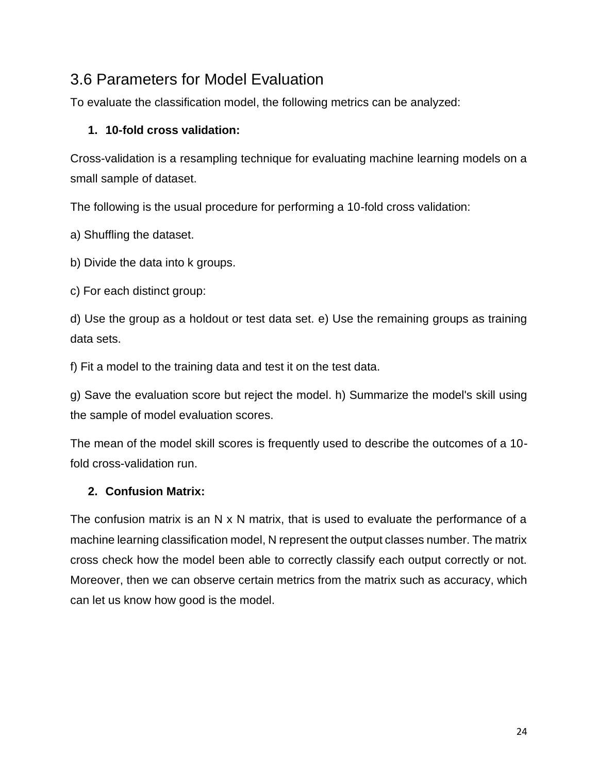# <span id="page-30-0"></span>3.6 Parameters for Model Evaluation

To evaluate the classification model, the following metrics can be analyzed:

#### **1. 10-fold cross validation:**

Cross-validation is a resampling technique for evaluating machine learning models on a small sample of dataset.

The following is the usual procedure for performing a 10-fold cross validation:

a) Shuffling the dataset.

b) Divide the data into k groups.

c) For each distinct group:

d) Use the group as a holdout or test data set. e) Use the remaining groups as training data sets.

f) Fit a model to the training data and test it on the test data.

g) Save the evaluation score but reject the model. h) Summarize the model's skill using the sample of model evaluation scores.

The mean of the model skill scores is frequently used to describe the outcomes of a 10 fold cross-validation run.

#### **2. Confusion Matrix:**

The confusion matrix is an N x N matrix, that is used to evaluate the performance of a machine learning classification model, N represent the output classes number. The matrix cross check how the model been able to correctly classify each output correctly or not. Moreover, then we can observe certain metrics from the matrix such as accuracy, which can let us know how good is the model.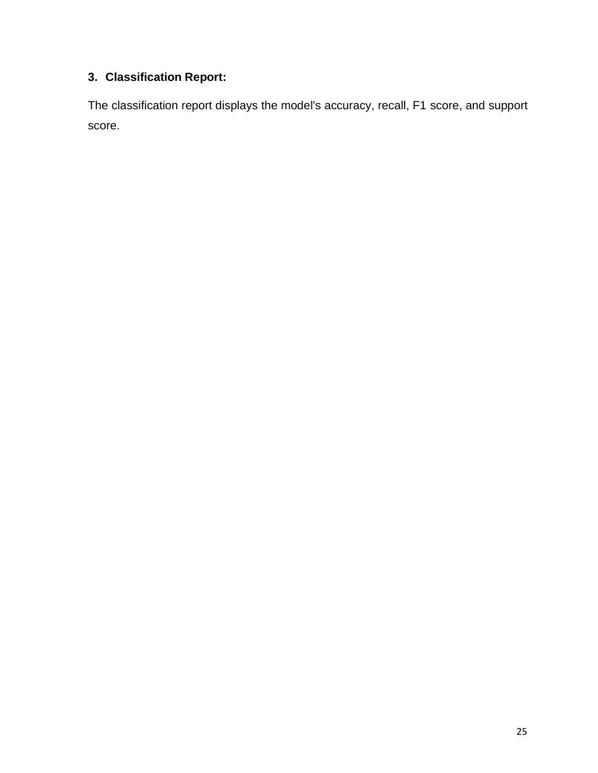# **3. Classification Report:**

The classification report displays the model's accuracy, recall, F1 score, and support score.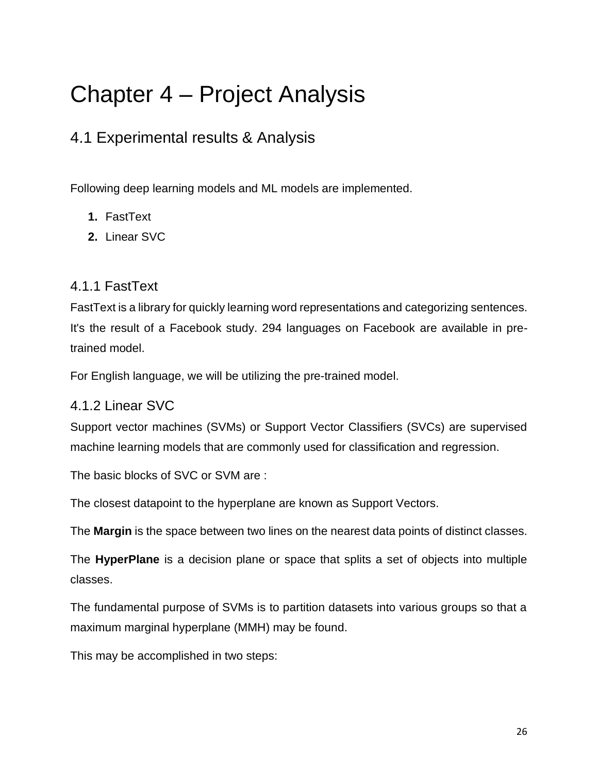# <span id="page-32-0"></span>Chapter 4 – Project Analysis

# <span id="page-32-1"></span>4.1 Experimental results & Analysis

Following deep learning models and ML models are implemented.

- **1.** FastText
- **2.** Linear SVC

### <span id="page-32-2"></span>4.1.1 FastText

FastText is a library for quickly learning word representations and categorizing sentences. It's the result of a Facebook study. 294 languages on Facebook are available in pretrained model.

For English language, we will be utilizing the pre-trained model.

### <span id="page-32-3"></span>4.1.2 Linear SVC

Support vector machines (SVMs) or Support Vector Classifiers (SVCs) are supervised machine learning models that are commonly used for classification and regression.

The basic blocks of SVC or SVM are :

The closest datapoint to the hyperplane are known as Support Vectors.

The **Margin** is the space between two lines on the nearest data points of distinct classes.

The **HyperPlane** is a decision plane or space that splits a set of objects into multiple classes.

The fundamental purpose of SVMs is to partition datasets into various groups so that a maximum marginal hyperplane (MMH) may be found.

This may be accomplished in two steps: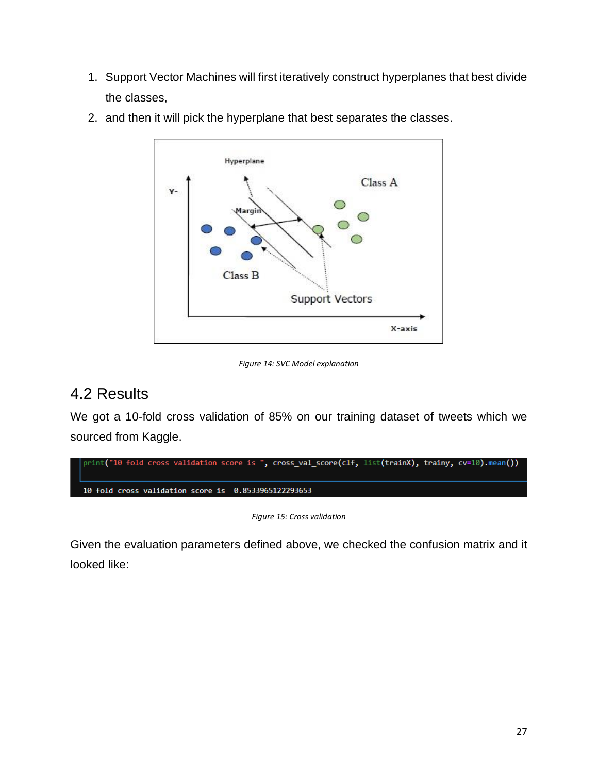1. Support Vector Machines will first iteratively construct hyperplanes that best divide the classes,



2. and then it will pick the hyperplane that best separates the classes.

# <span id="page-33-1"></span><span id="page-33-0"></span>4.2 Results

We got a 10-fold cross validation of 85% on our training dataset of tweets which we sourced from Kaggle.

*Figure 15: Cross validation*

<span id="page-33-2"></span>Given the evaluation parameters defined above, we checked the confusion matrix and it looked like:

*Figure 14: SVC Model explanation*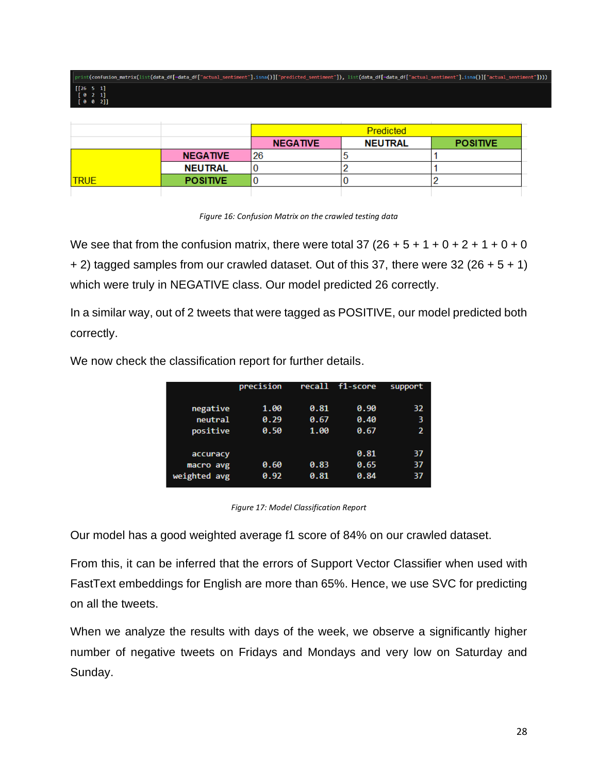|             |                 | Predicted       |                |                 |  |
|-------------|-----------------|-----------------|----------------|-----------------|--|
|             |                 | <b>NEGATIVE</b> | <b>NEUTRAL</b> | <b>POSITIVE</b> |  |
|             | <b>NEGATIVE</b> | 26              |                |                 |  |
|             | <b>NEUTRAL</b>  |                 |                |                 |  |
| <b>TRUE</b> | <b>POSITIVE</b> | v               |                |                 |  |
|             |                 |                 |                |                 |  |

|  | Figure 16: Confusion Matrix on the crawled testing data |  |  |  |
|--|---------------------------------------------------------|--|--|--|
|  |                                                         |  |  |  |
|  |                                                         |  |  |  |

<span id="page-34-0"></span>We see that from the confusion matrix, there were total 37 (26 + 5 + 1 + 0 + 2 + 1 + 0 + 0  $+ 2$ ) tagged samples from our crawled dataset. Out of this 37, there were 32 (26  $+ 5 + 1$ ) which were truly in NEGATIVE class. Our model predicted 26 correctly.

In a similar way, out of 2 tweets that were tagged as POSITIVE, our model predicted both correctly.

|              | precision |      | recall f1-score | support |
|--------------|-----------|------|-----------------|---------|
|              |           |      |                 |         |
| negative     | 1.00      | 0.81 | 0.90            | 32      |
| neutral      | 0.29      | 0.67 | 0.40            | 3       |
| positive     | 0.50      | 1.00 | 0.67            | 2       |
|              |           |      |                 |         |
| accuracy     |           |      | 0.81            | 37      |
| macro avg    | 0.60      | 0.83 | 0.65            | 37      |
| weighted avg | 0.92      | 0.81 | 0.84            | 37      |
|              |           |      |                 |         |

We now check the classification report for further details.

*Figure 17: Model Classification Report*

<span id="page-34-1"></span>Our model has a good weighted average f1 score of 84% on our crawled dataset.

From this, it can be inferred that the errors of Support Vector Classifier when used with FastText embeddings for English are more than 65%. Hence, we use SVC for predicting on all the tweets.

When we analyze the results with days of the week, we observe a significantly higher number of negative tweets on Fridays and Mondays and very low on Saturday and Sunday.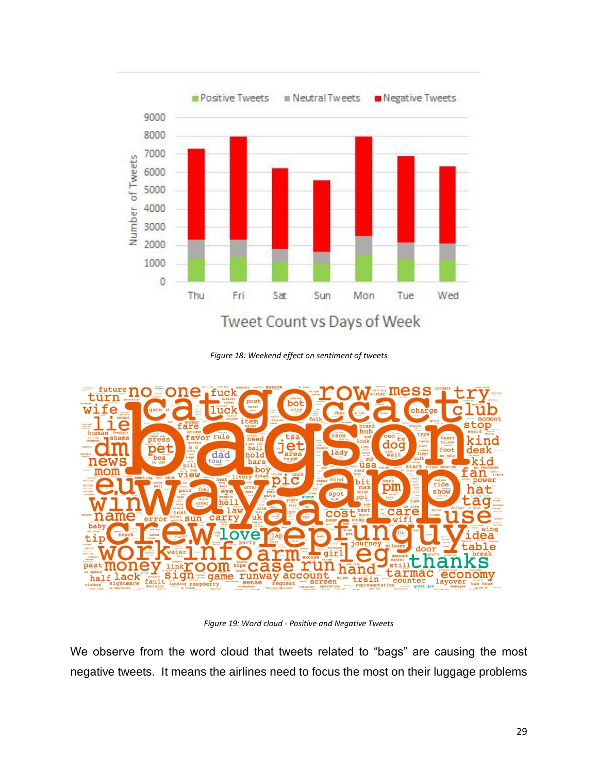

*Figure 18: Weekend effect on sentiment of tweets*

<span id="page-35-0"></span>

*Figure 19: Word cloud - Positive and Negative Tweets*

<span id="page-35-1"></span>We observe from the word cloud that tweets related to "bags" are causing the most negative tweets. It means the airlines need to focus the most on their luggage problems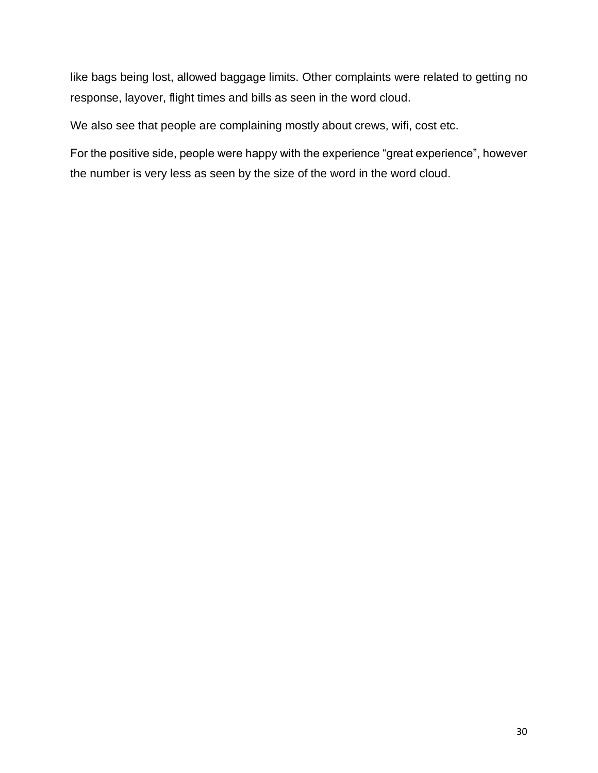like bags being lost, allowed baggage limits. Other complaints were related to getting no response, layover, flight times and bills as seen in the word cloud.

We also see that people are complaining mostly about crews, wifi, cost etc.

For the positive side, people were happy with the experience "great experience", however the number is very less as seen by the size of the word in the word cloud.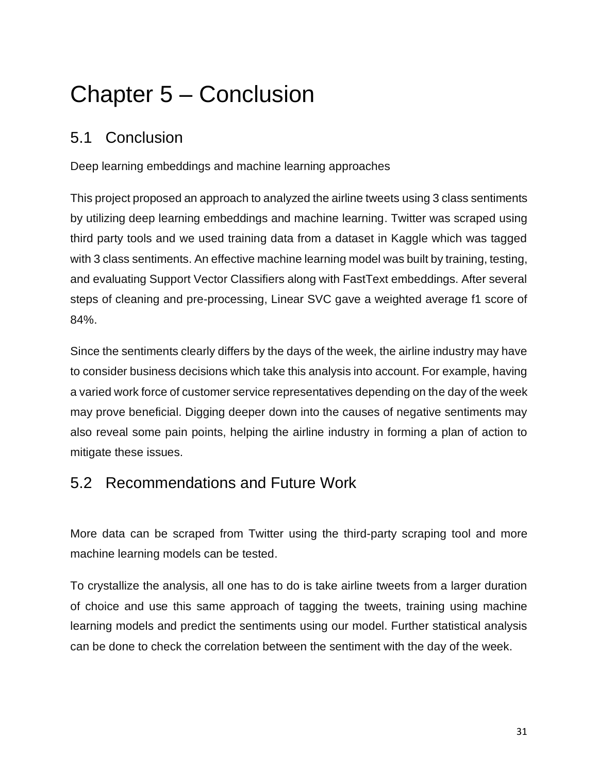# <span id="page-37-0"></span>Chapter 5 – Conclusion

# <span id="page-37-1"></span>5.1 Conclusion

Deep learning embeddings and machine learning approaches

This project proposed an approach to analyzed the airline tweets using 3 class sentiments by utilizing deep learning embeddings and machine learning. Twitter was scraped using third party tools and we used training data from a dataset in Kaggle which was tagged with 3 class sentiments. An effective machine learning model was built by training, testing, and evaluating Support Vector Classifiers along with FastText embeddings. After several steps of cleaning and pre-processing, Linear SVC gave a weighted average f1 score of 84%.

Since the sentiments clearly differs by the days of the week, the airline industry may have to consider business decisions which take this analysis into account. For example, having a varied work force of customer service representatives depending on the day of the week may prove beneficial. Digging deeper down into the causes of negative sentiments may also reveal some pain points, helping the airline industry in forming a plan of action to mitigate these issues.

# <span id="page-37-2"></span>5.2 Recommendations and Future Work

More data can be scraped from Twitter using the third-party scraping tool and more machine learning models can be tested.

To crystallize the analysis, all one has to do is take airline tweets from a larger duration of choice and use this same approach of tagging the tweets, training using machine learning models and predict the sentiments using our model. Further statistical analysis can be done to check the correlation between the sentiment with the day of the week.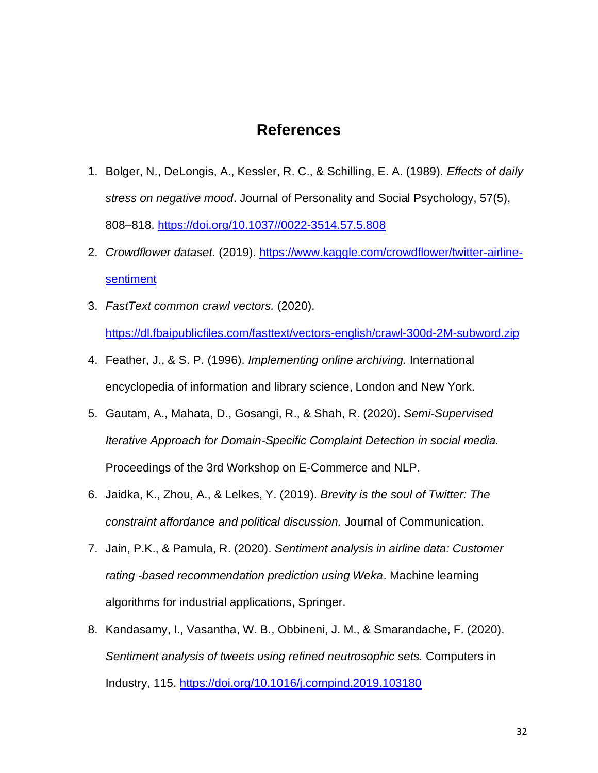### **References**

- 1. Bolger, N., DeLongis, A., Kessler, R. C., & Schilling, E. A. (1989). *Effects of daily stress on negative mood*. Journal of Personality and Social Psychology, 57(5), 808–818. [https://doi.org/10.1037//0022-3514.57.5.808](https://doi.org/10.1037/0022-3514.57.5.808)
- 2. *Crowdflower dataset.* (2019). [https://www.kaggle.com/crowdflower/twitter-airline](https://www.kaggle.com/crowdflower/twitter-airline-sentiment)[sentiment](https://www.kaggle.com/crowdflower/twitter-airline-sentiment)
- 3. *FastText common crawl vectors.* (2020).

<https://dl.fbaipublicfiles.com/fasttext/vectors-english/crawl-300d-2M-subword.zip>

- 4. Feather, J., & S. P. (1996). *Implementing online archiving.* International encyclopedia of information and library science, London and New York.
- 5. Gautam, A., Mahata, D., Gosangi, R., & Shah, R. (2020). *Semi-Supervised Iterative Approach for Domain-Specific Complaint Detection in social media.* Proceedings of the 3rd Workshop on E-Commerce and NLP.
- 6. Jaidka, K., Zhou, A., & Lelkes, Y. (2019). *Brevity is the soul of Twitter: The constraint affordance and political discussion.* Journal of Communication.
- 7. Jain, P.K., & Pamula, R. (2020). *Sentiment analysis in airline data: Customer rating -based recommendation prediction using Weka*. Machine learning algorithms for industrial applications, Springer.
- 8. Kandasamy, I., Vasantha, W. B., Obbineni, J. M., & Smarandache, F. (2020). *Sentiment analysis of tweets using refined neutrosophic sets.* Computers in Industry, 115.<https://doi.org/10.1016/j.compind.2019.103180>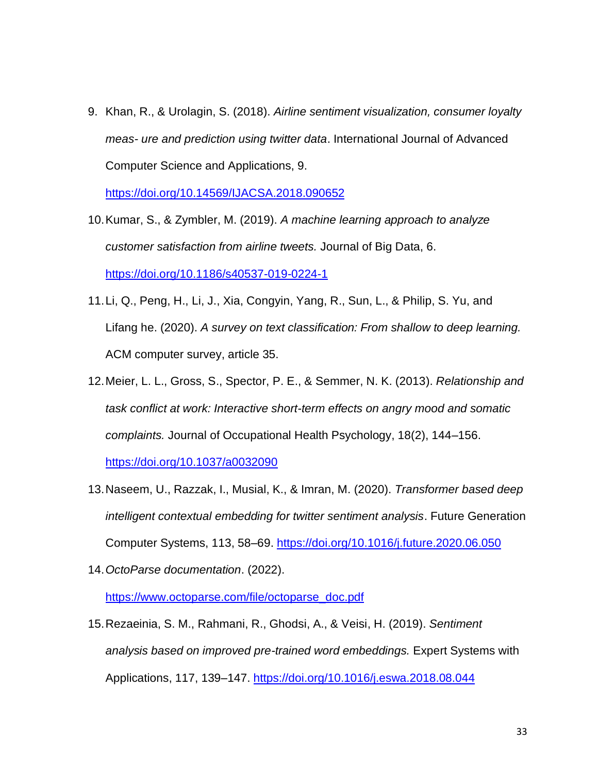9. Khan, R., & Urolagin, S. (2018). *Airline sentiment visualization, consumer loyalty meas- ure and prediction using twitter data*. International Journal of Advanced Computer Science and Applications, 9.

<https://doi.org/10.14569/IJACSA.2018.090652>

- 10.Kumar, S., & Zymbler, M. (2019). *A machine learning approach to analyze customer satisfaction from airline tweets.* Journal of Big Data, 6. <https://doi.org/10.1186/s40537-019-0224-1>
- 11.Li, Q., Peng, H., Li, J., Xia, Congyin, Yang, R., Sun, L., & Philip, S. Yu, and Lifang he. (2020). *A survey on text classification: From shallow to deep learning.* ACM computer survey, article 35.
- 12.Meier, L. L., Gross, S., Spector, P. E., & Semmer, N. K. (2013). *Relationship and task conflict at work: Interactive short-term effects on angry mood and somatic complaints.* Journal of Occupational Health Psychology, 18(2), 144–156.

<https://doi.org/10.1037/a0032090>

- 13.Naseem, U., Razzak, I., Musial, K., & Imran, M. (2020). *Transformer based deep intelligent contextual embedding for twitter sentiment analysis*. Future Generation Computer Systems, 113, 58–69.<https://doi.org/10.1016/j.future.2020.06.050>
- 14.*OctoParse documentation*. (2022).

[https://www.octoparse.com/file/octoparse\\_doc.pdf](https://www.octoparse.com/file/octoparse_doc.pdf)

15.Rezaeinia, S. M., Rahmani, R., Ghodsi, A., & Veisi, H. (2019). *Sentiment analysis based on improved pre-trained word embeddings.* Expert Systems with Applications, 117, 139–147.<https://doi.org/10.1016/j.eswa.2018.08.044>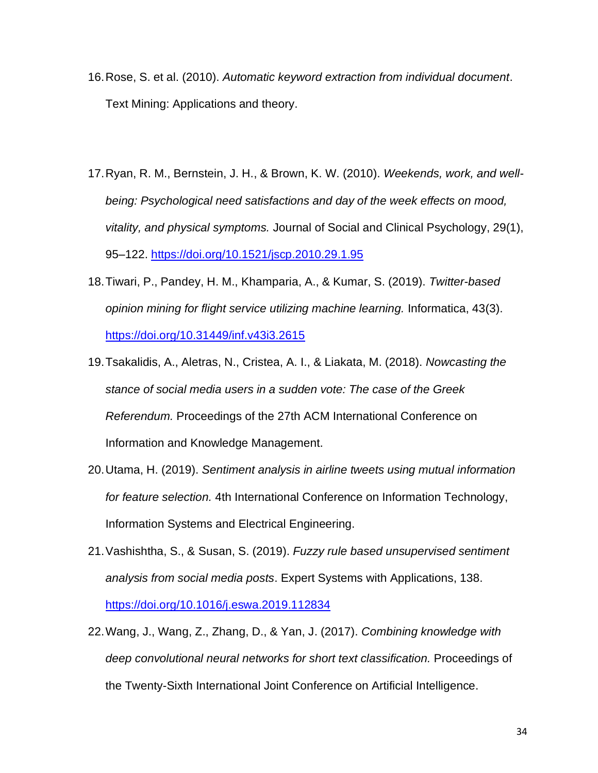- 16.Rose, S. et al. (2010). *Automatic keyword extraction from individual document*. Text Mining: Applications and theory.
- 17.Ryan, R. M., Bernstein, J. H., & Brown, K. W. (2010). *Weekends, work, and wellbeing: Psychological need satisfactions and day of the week effects on mood, vitality, and physical symptoms.* Journal of Social and Clinical Psychology, 29(1), 95–122.<https://doi.org/10.1521/jscp.2010.29.1.95>
- 18.Tiwari, P., Pandey, H. M., Khamparia, A., & Kumar, S. (2019). *Twitter-based opinion mining for flight service utilizing machine learning.* Informatica, 43(3). <https://doi.org/10.31449/inf.v43i3.2615>
- 19.Tsakalidis, A., Aletras, N., Cristea, A. I., & Liakata, M. (2018). *Nowcasting the stance of social media users in a sudden vote: The case of the Greek Referendum.* Proceedings of the 27th ACM International Conference on Information and Knowledge Management.
- 20.Utama, H. (2019). *Sentiment analysis in airline tweets using mutual information for feature selection.* 4th International Conference on Information Technology, Information Systems and Electrical Engineering.
- 21.Vashishtha, S., & Susan, S. (2019). *Fuzzy rule based unsupervised sentiment analysis from social media posts*. Expert Systems with Applications, 138. <https://doi.org/10.1016/j.eswa.2019.112834>
- 22.Wang, J., Wang, Z., Zhang, D., & Yan, J. (2017). *Combining knowledge with deep convolutional neural networks for short text classification.* Proceedings of the Twenty-Sixth International Joint Conference on Artificial Intelligence.